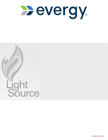

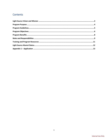# Contents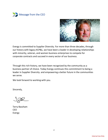



Evergy is committed to Supplier Diversity. For more than three decades, through our history with legacy KCP&L, we have been a leader in developing relationships with minority, veteran, and women business enterprises to compete for corporate contracts and succeed in every sector of our business.

Through this rich history, we have been recognized by the community as a business partner of choice. Today Evergy continues this commitment to being a leader in Supplier Diversity. and empowering a better future in the communities we serve.

We look forward to working with you.

Sincerely,

Terry Bassham CEO Evergy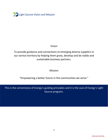<span id="page-3-0"></span>

# Vision

To provide guidance and connections to emerging diverse suppliers in our service territory by helping them grow, develop and be viable and sustainable business partners.

Mission

"Empowering a better future in the communities we serve."

This is the cornerstone of Evergy's guiding principles and it is the soul of Evergy's Light Source program.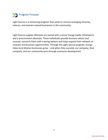<span id="page-4-0"></span>

Light Source is a mentoring program that seeks to nurture emerging minority, veteran, and women-owned businesses in the community.

Light Source supplier Mentees are paired with a senior Evergy leader (Champion) and a procurement advocate. These individuals provide business advice and counsel, connects them with training options and helps expand their network of contacts and business opportunities. Through the Light Source program, Evergy helps local diverse businesses grow – and when they succeed, our company, their company, and our community wins through economic development.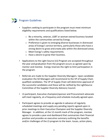<span id="page-5-0"></span>

- Suppliers seeking to participate in the program must meet minimum eligibility requirements and qualifications listed below.
	- o Be a minority, veteran, LGBT or woman-owned business located within the communities served by Evergy.
	- o Preference is given to emerging diverse businesses in distressed areas of Evergy's service territory, particularly those who have a strong desire to grow and create jobs within the distressed areas.
	- o Meet Evergy's safety requirements.
	- o Have a desire to grow their business.
- Applications to the Light Source (LS) Program are accepted throughout the year and graduation from the program occurs as agreed upon by mentor and mentee. Evergy reserves the right to limit participation in the program.
- Referrals are made to the Supplier Diversity Managers. Upon candidate evaluation the SD Managers will recommend to the VP of Supply Chain qualified candidates. The VP of Supply Chain will determine approval of the successful candidates and these will be ratified by the LightSource Committee of the Supplier Diversity Advisory Council.
- LS participant, Executive champion/sponsor and Procurement advocate will meet regularly, at a frequency and schedule mutually agreed upon.
- Participant agrees to provide an agenda in advance of regularly scheduled meetings and supply any pending reports agreed upon in prior meetings to their Executive Champion and the Supplier Diversity Manager. In addition, at the 12-month mark of the program, mentee agrees to provide a year-end dashboard that summarizes their financial position and provides an executive summary outlining the benefits and/or challenges of the LS program to the team. Issues, action plans,

5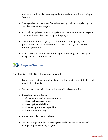and results will be discussed regularly, tracked and monitored using a Scorecard.

- The agendas and the notes from the meetings will be compiled by the Supplier Diversity Managers.
- CEO will be updated on what suppliers and mentors are paired together and how the suppliers are doing in the program.
- There is a minimum, 1 year, commitment to the Program, but participation can be renewed for up to a total of 2 years based on mutual agreement.
- After successful completion of the Light Source Program, participants will graduate to Alumni Status.

<span id="page-6-0"></span>

The objectives of the Light Source program are to:

- Mentor and nurture emerging diverse businesses to be sustainable and profitable enterprises
- Support job growth in distressed areas of local communities
- Provide opportunities to:
	- Grow network of business contacts
	- Develop business acumen
	- Develop financial skills
	- Nurture operational capabilities
	- Increase networking
- Enhance supplier resource base
- Support Evergy Supplier Diversity goals and increase awareness of Evergy Supplier Diversity program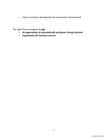• Foster economic development & community improvement

The Light Source program **is not**:

- *An opportunity to automatically win/grant Evergy business*
- *A guarantee for business success*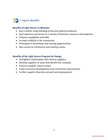<span id="page-8-0"></span>

#### **Benefits of Light Source to Mentees:**

- Gain a better understanding of bid and award procedures
- Gain exposure and access to a variety of business resources and expertise
- Enhance capabilities and skills
- Increase visibility in the community
- Participate in workshops and training opportunities
- Gain access to conference and meeting rooms

#### **Benefits of the Light Source Program for Evergy:**

- Strengthen relationships with diverse suppliers
- Develop suppliers in ways that benefit the company
- Enhance supplier resource base
- Foster economic development and community improvement
- Further supplier diversity outreach and development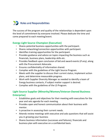<span id="page-9-0"></span>

The success of the program and quality of the relationships is dependent upon the level of commitment by everyone involved. Please dedicate the time and come prepared to each meeting/event.

# **Evergy Light Source Champion (Executive)**

- Shares potential business opportunities with the participant.
- Shares networking/connection opportunities with participant.
- Identifies training opportunities for the participant.
- Provides guidance and advice on topics impacting the business such as financials, business plans, leadership skills etc.
- Provides feedback upon conclusion of bid and award events (if any), along with the Procurement Advocate.
- Ensures confidentiality of information shared.
- Complies with the guidelines of the Light Source Program.
- Meets with the supplier to discuss their current status, implement action plans, and determine measurable progress.
- Work with Supplier Diversity Manager as needed to identify a team of Evergy business contacts, if subject matter support is desired.
- Complies with the guidelines of the LS Program.

# **Light Source Supplier (Minority/Women/Veteran-Owned Business Enterprise)**

- Establishes goals and objectives for their meeting with executives for the year and sets agenda for each meeting.
- Provides open and honest communication about their business with mentor.
- Is proactive in assessing their current needs.
- Attends review meetings with executive and asks questions that will assist you in growing your business
- Shares business information (successes and failures), financials and business plan with executive on a confidential basis.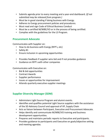- Submits agenda prior to every meeting and a year-end dashboard. *(If not submitted may be released from program.)*
- Must be in good standing if doing business with Evergy.
- Adheres to Evergy procurement policies and procedures.
- Must read and sign Code of Ethical Business Conduct
- Must be a certified M/WBE/VO or in the process of being certified.
- Complies with the guidelines for the LS Program.

## **Procurement Advocate**

Communicates with Supplier on:

- How to do business with Evergy (RFP's, etc)
- Safety #1
- Ensure inclusion in upcoming opportunities
- Provides feedback if supplier wins bid and if not provides guidance
- Guidance on RFP's with other companies

Communicates with Executive on:

- Bid & bid opportunities
- Contract Awards
- Supplier performance
- Issues or opportunities for improvement
- Attends quarterly executive-supplier meetings

# **Supplier Diversity Manager (SDM)**

- Administers Light Source Program and alumni events.
- Identifies and qualifies potential Light Source suppliers with the assistance of the SD Advisory Council and approval of VP, Supply Chain
- Acts as liaison between Participant, Executive and Procurement Advocate.
- Helps identify and communicate M/WBE/VO training and business development opportunities.
- Prepares and maintains periodic reports to Executive and participants.
- Provides guidance to participants and Executive on goals/objective setting and meeting agendas.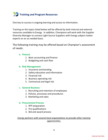<span id="page-11-0"></span>

One key to success is ongoing learning and access to information.

Training on the topics listed below will be offered by both internal and external resources available to Evergy. In addition, Champions will work with the Supplier Diversity Manager to connect Light Source Suppliers with Evergy subject-matter experts on an as-needed basis.

The following training may be offered based on Champion's assessment of needs:

#### **a. Finance**

- 1. Basic accounting and finance
- 2. Budgeting and cash flow

#### **b. Risk Management**

- 1. Insurance and bonding
- 2. Safety education and information
- 3. Financial risk
- 4. Business operating risk
- 5. Contractual and legal risk

#### **c. General Business**

- 1. Recruiting and retention of employees
- 2. Policies, processes and procedures
- 3. Marketing and sales

#### **d. Procurement Process**

- 1. RFP preparation
- 2. Pre-qualifications
- 3. Bid and award process

### *Evergy partners with several local organizations to provide other training opportunities.*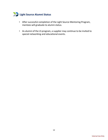<span id="page-12-0"></span>

- After successful completion of the Light Source Mentoring Program, mentees will graduate to alumni status.
- As alumni of the LS program, a supplier may continue to be invited to special networking and educational events.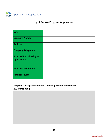<span id="page-13-0"></span>

# **Light Source Program Application**

| Date:                                                     |  |
|-----------------------------------------------------------|--|
| <b>Company Name:</b>                                      |  |
| Address:                                                  |  |
| <b>Company Telephone:</b>                                 |  |
| <b>Principal Participating in</b><br><b>Light Source:</b> |  |
| <b>Principal Telephone:</b>                               |  |
| <b>Referral Source:</b>                                   |  |

**Company Description – Business model, products and services. (200 words max):**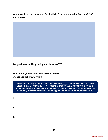**Why should you be considered for the Light Source Mentorship Program? (200 words max)** 



**Are you interested in growing your business? Y/N**

**How would you describe your desired growth?** *(Please use actionable items)*

*Examples: Develop a safety plan; Grow revenues \_\_\_\_%, Expand business to a new location; Grow clientele by \_\_\_%; Prepare to bid with larger companies; Develop a marketing strategy, Establish a sound financial reporting system; Learn about Human Resources; Explore Information Technology Solutions; Restructuring business, etc.*

- **1.**
- **2.**
- **3.**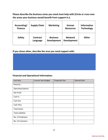**Please describe the business areas you need most help with (Circle or cross over the areas your business would benefit from support in.):** 

| Accounting/<br><b>Finance</b> | <b>Supply Chain</b>         | <b>Marketing</b>                      | Human<br><b>Resources</b>            | <b>Information</b><br><b>Technology</b> |
|-------------------------------|-----------------------------|---------------------------------------|--------------------------------------|-----------------------------------------|
| <b>Safety</b>                 | <b>Contract</b><br>Language | <b>Business</b><br><b>Development</b> | <b>Network</b><br><b>Development</b> | <b>Other</b>                            |

**If you chose other, describe the area you need support with:**

### **Financial and Operational Information:**

| Line Item                | <b>Current Year Budget</b> | Projected Year | <b>Desired Goal</b> |
|--------------------------|----------------------------|----------------|---------------------|
| Revenue                  |                            |                |                     |
| <b>Operating Expense</b> |                            |                |                     |
| Net Profit               |                            |                |                     |
| Cash In                  |                            |                |                     |
| Cash Out                 |                            |                |                     |
| Cash Flow                |                            |                |                     |
| <b>Total Assets</b>      |                            |                |                     |
| <b>Total Liabilities</b> |                            |                |                     |
| No. of Employees         |                            |                |                     |
| No. of Customers         |                            |                |                     |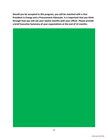**Should you be accepted to this program, you will be matched with a Vice President in Evergy and a Procurement Advocate. It is important that you think through how you will use your twelve months with your officer. Please provide a brief Executive Summary of your expectations at the end of 12 months:** 

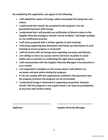**By completing this application, you agree to the following:** 

- **I will uphold the values of Evergy; safety and people first being two core values;**
- **I understand that should I be accepted to this program I am not guaranteed business with Evergy;**
- **I understand that I will provide my certification of diverse status to the Supplier Diversity managers; should I not be certified, I will begin working on my certification process;**
- **I will come prepared with a written agenda to each meeting;**
- **I will bring supporting documentation and follow-up information to each meeting to ensure progress is measured;**
- **I will be honest with my Evergy team regarding successes and failures;**
- **I am willing to share my success stories and have my photo in social media when it pertains to celebrating the Light Source program;**
- **I will communicate with the Supplier Diversity Manager if my executive is not a match;**
- **I am expected to complete an exit survey where I will address my successes and pain points during the program;**
- **If I do not comply with the expectations outlined in this document and the program brochure the program can be terminated;**
- **I understand Evergy is interested in supporting my growth, however, should I feel the program is not a good match I can stop my participation at any time with written notice.**

**\_\_\_\_\_\_\_\_\_\_\_\_\_\_\_\_\_\_\_\_\_\_\_\_\_\_\_\_\_\_\_ \_\_\_\_\_\_\_\_\_\_\_\_\_\_\_\_\_\_\_\_\_\_\_\_\_\_\_\_\_**

**Applicant Supplier Diversity Manager**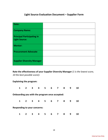# **Light Source Evaluation Document – Supplier Form**

| Date:                             |  |
|-----------------------------------|--|
| <b>Company Name:</b>              |  |
| <b>Principal Participating in</b> |  |
| <b>Light Source:</b>              |  |
| <b>Mentor:</b>                    |  |
| <b>Procurement Advocate</b>       |  |
| <b>Supplier Diversity Manager</b> |  |

**Rate the effectiveness of your Supplier Diversity Manager** *(1 is the lowest score, 10 the best possible score)***:** 

#### **Explaining the program:**

| $\mathbf{1}$ | $2^{\circ}$             | $\overline{\mathbf{3}}$ | 4                                   | 5                                              | 6 | 7 | -8 | 9 | 10 |
|--------------|-------------------------|-------------------------|-------------------------------------|------------------------------------------------|---|---|----|---|----|
|              |                         |                         |                                     | Onboarding you with the program once accepted: |   |   |    |   |    |
| $\mathbf{1}$ | $\overline{\mathbf{2}}$ | $\overline{\mathbf{3}}$ | $\overline{a}$                      | 5 <sub>5</sub>                                 | 6 | 7 | 8  | 9 | 10 |
|              |                         |                         | <b>Responding to your concerns:</b> |                                                |   |   |    |   |    |
| $\mathbf{1}$ | 2 <sup>1</sup>          | 3                       | 4                                   | 5.                                             | 6 | 7 | 8  | 9 | 10 |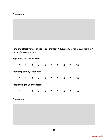#### **Comments:**

**Rate the effectiveness of your Procurement Advocate** *(1 is the lowest score, 10 the best possible score)***:** 

## **Explaining the bid process:**

| $\mathbf{1}$                        | $\overline{2}$ | 3                       | 4                       | 5  | 6 | 7                       | 8 | 9 | 10 |
|-------------------------------------|----------------|-------------------------|-------------------------|----|---|-------------------------|---|---|----|
| <b>Providing quality feedback:</b>  |                |                         |                         |    |   |                         |   |   |    |
| $\mathbf{1}$                        | $\mathbf{2}$   | $\overline{\mathbf{3}}$ | $\overline{\mathbf{4}}$ | -5 | 6 | $\overline{\mathbf{z}}$ | 8 | 9 | 10 |
| <b>Responding to your concerns:</b> |                |                         |                         |    |   |                         |   |   |    |
| $\mathbf{1}$                        | $\mathbf{2}$   | 3                       | 4                       | 5  | 6 | $\overline{\mathbf{z}}$ | 8 | 9 | 10 |

**Comments:**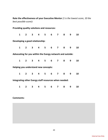**Rate the effectiveness of your Executive Mentor** *(1 is the lowest score, 10 the best possible score)***:** 

**Providing quality solutions and resources: 1 2 3 4 5 6 7 8 9 10 Developing a good relationship: 1 2 3 4 5 6 7 8 9 10 Advocating for you within the Evergy network and outside: 1 2 3 4 5 6 7 8 9 10 Helping you understand new concepts: 1 2 3 4 5 6 7 8 9 10 Integrating other Evergy staff resources when needed: 1 2 3 4 5 6 7 8 9 10**

**Comments:**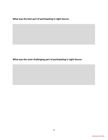**What was the best part of participating in Light Source:** 

**What was the most challenging part of participating in Light Source:**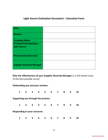# **Light Source Evaluation Document – Executive Form**

| <b>Date</b>                       |  |
|-----------------------------------|--|
| <b>Mentor</b>                     |  |
| <b>Company Name</b>               |  |
| <b>Principal Participating in</b> |  |
| <b>Light Source</b>               |  |
|                                   |  |
| <b>Procurement Advocate</b>       |  |
| <b>Supplier Diversity Manager</b> |  |

**Rate the effectiveness of your Supplier Diversity Manager** *(1 is the lowest score, 10 the best possible score)***:** 

#### **Onboarding you and your mentee:**

| $\mathbf{1}$ | $\overline{2}$ | $\overline{\mathbf{3}}$ | 4                                   | 5.                                  | 6 | 7 | 8 | 9 | 10 |
|--------------|----------------|-------------------------|-------------------------------------|-------------------------------------|---|---|---|---|----|
|              |                |                         |                                     | Supporting you through the process: |   |   |   |   |    |
| $\mathbf{1}$ | $2^{\circ}$    | $\mathbf{3}$            | $\overline{\mathbf{4}}$             | 5 <sub>5</sub>                      | 6 | 7 | 8 | 9 | 10 |
|              |                |                         | <b>Responding to your concerns:</b> |                                     |   |   |   |   |    |
| $\mathbf{1}$ | $\mathbf{2}$   | 3                       | 4                                   | 5                                   | 6 | 7 | 8 | 9 | 10 |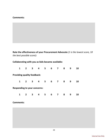#### **Comments:**

**Rate the effectiveness of your Procurement Advocate** *(1 is the lowest score, 10 the best possible score)***:** 

## **Collaborating with you as bids became available:**

| $\mathbf{1}$                        | $\overline{2}$ | $\mathbf{3}$ | 4 | 5  | 6 | 7                       | 8 | 9 | 10 |
|-------------------------------------|----------------|--------------|---|----|---|-------------------------|---|---|----|
| <b>Providing quality feedback:</b>  |                |              |   |    |   |                         |   |   |    |
| $\mathbf{1}$                        | $\mathbf{2}$   | $\mathbf{3}$ | 4 | -5 | 6 | $\overline{\mathbf{z}}$ | 8 | 9 | 10 |
| <b>Responding to your concerns:</b> |                |              |   |    |   |                         |   |   |    |
| $\mathbf{1}$                        | 2 <sup>1</sup> | 3            | 4 | 5  | 6 | 7                       | 8 | 9 | 10 |

### **Comments:**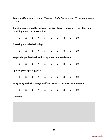**Rate the effectiveness of your Mentee** *(1 is the lowest score, 10 the best possible score)***:** 

**Showing up prepared to each meeting (written agenda prior to meetings and providing sound documentation):**

| $\mathbf{1}$                                                 | $2^{\sim}$ |                   |  | 3 4 5 6 7 8 |  | 9 | 10                                                                     |  |
|--------------------------------------------------------------|------------|-------------------|--|-------------|--|---|------------------------------------------------------------------------|--|
| Fostering a good relationship:                               |            |                   |  |             |  |   |                                                                        |  |
| $\mathbf{1}$                                                 |            | 2 3 4 5 6 7 8 9   |  |             |  |   | 10                                                                     |  |
| <b>Responding to feedback and acting on recommendations:</b> |            |                   |  |             |  |   |                                                                        |  |
|                                                              |            | 1 2 3 4 5 6 7 8 9 |  |             |  |   | 10                                                                     |  |
| Applying concepts suggested:                                 |            |                   |  |             |  |   |                                                                        |  |
| $1 \quad$                                                    |            | 2 3 4 5 6 7 8 9   |  |             |  |   | 10                                                                     |  |
|                                                              |            |                   |  |             |  |   | Integrating well with Evergy staff and external resources when needed: |  |
| $\mathbf{1}$                                                 |            | 2 3 4 5 6 7 8     |  |             |  | 9 | 10                                                                     |  |
|                                                              |            |                   |  |             |  |   |                                                                        |  |

**Comments:**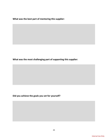**What was the best part of mentoring this supplier:** 

**What was the most challenging part of supporting this supplier:** 

**Did you achieve the goals you set for yourself?**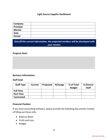### **Light Source Supplier Dashboard**

| Company       |  |
|---------------|--|
| Principal     |  |
| <b>Mentor</b> |  |
| <b>Date</b>   |  |
| <b>Period</b> |  |

*Only fill the current information, the projected numbers will be developed with your mentor.*

#### **Program Goal:**

### **Business Information:**

#### **Staff load:**

| <b>Staff Type</b> | <b>Current</b> | Projected | %Change | % of Total<br><b>Budget</b> | % Diverse<br><b>Staff</b> |
|-------------------|----------------|-----------|---------|-----------------------------|---------------------------|
| <b>Full Time</b>  |                |           |         |                             |                           |
| <b>Part Time</b>  |                |           |         |                             |                           |
| <b>Contracted</b> |                |           |         |                             |                           |

#### **Financial Position**

If you have accounting software, please provide the following documents instead of filling out these cells;

- Balance Sheet
- Profit and Loss
- Budget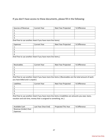## If you don't have access to these documents, please fill in the following:

| Sources of Revenue | <b>Current Year</b> | Next Year Projected | % Difference |
|--------------------|---------------------|---------------------|--------------|
|                    |                     |                     |              |
|                    |                     |                     |              |
| . پ                |                     |                     |              |
|                    |                     |                     |              |

(Feel free to use another sheet if you have more line items)

| Expenses   | <b>Current Year</b> | Next Year Projected | % Difference |
|------------|---------------------|---------------------|--------------|
|            |                     |                     |              |
| <u>. .</u> |                     |                     |              |
| . ب        |                     |                     |              |
|            |                     |                     |              |

(Feel free to use another sheet if you have more line items.)

| Receivables | <b>Current Year</b> | Next Year Projected | % Difference |
|-------------|---------------------|---------------------|--------------|
|             |                     |                     |              |
|             |                     |                     |              |
|             |                     |                     |              |
|             |                     |                     |              |

(Feel free to use another sheet if you have more line items.) (Receivables are the total amount of work you have billed and is unpaid.)

| Liabilities | <b>Current Year</b> | Next Year Projected | % Difference |
|-------------|---------------------|---------------------|--------------|
| . .         |                     |                     |              |
|             |                     |                     |              |
| <u>. .</u>  |                     |                     |              |
|             |                     |                     |              |

(Feel free to use another sheet if you have more line items.) (Liabilities are amounts you owe, loans, vacation and sick time, money that is assigned to something, etc.)

| Available Cash       | Last Year (Year End) | Projected This Year | % Difference |
|----------------------|----------------------|---------------------|--------------|
| Revenue (Under) Over |                      |                     |              |
| Expenses             |                      |                     |              |